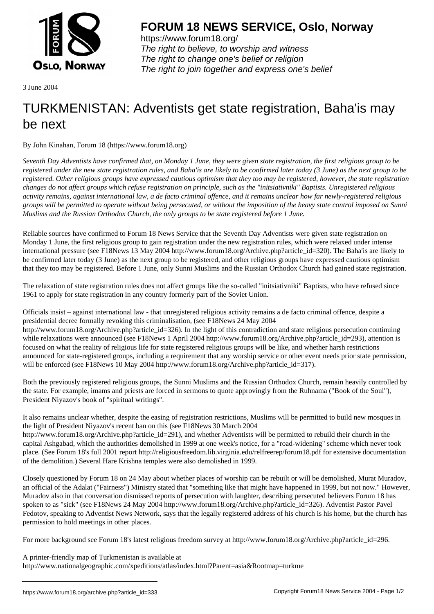

https://www.forum18.org/ The right to believe, to worship and witness The right to change one's belief or religion [The right to join together a](https://www.forum18.org/)nd express one's belief

3 June 2004

## [TURKMENISTA](https://www.forum18.org)N: Adventists get state registration, Baha'is may be next

By John Kinahan, Forum 18 (https://www.forum18.org)

*Seventh Day Adventists have confirmed that, on Monday 1 June, they were given state registration, the first religious group to be registered under the new state registration rules, and Baha'is are likely to be confirmed later today (3 June) as the next group to be registered. Other religious groups have expressed cautious optimism that they too may be registered, however, the state registration changes do not affect groups which refuse registration on principle, such as the "initsiativniki" Baptists. Unregistered religious activity remains, against international law, a de facto criminal offence, and it remains unclear how far newly-registered religious groups will be permitted to operate without being persecuted, or without the imposition of the heavy state control imposed on Sunni Muslims and the Russian Orthodox Church, the only groups to be state registered before 1 June.*

Reliable sources have confirmed to Forum 18 News Service that the Seventh Day Adventists were given state registration on Monday 1 June, the first religious group to gain registration under the new registration rules, which were relaxed under intense international pressure (see F18News 13 May 2004 http://www.forum18.org/Archive.php?article\_id=320). The Baha'is are likely to be confirmed later today (3 June) as the next group to be registered, and other religious groups have expressed cautious optimism that they too may be registered. Before 1 June, only Sunni Muslims and the Russian Orthodox Church had gained state registration.

The relaxation of state registration rules does not affect groups like the so-called "initsiativniki" Baptists, who have refused since 1961 to apply for state registration in any country formerly part of the Soviet Union.

Officials insist – against international law - that unregistered religious activity remains a de facto criminal offence, despite a presidential decree formally revoking this criminalisation, (see F18News 24 May 2004 http://www.forum18.org/Archive.php?article\_id=326). In the light of this contradiction and state religious persecution continuing while relaxations were announced (see F18News 1 April 2004 http://www.forum18.org/Archive.php?article\_id=293), attention is focused on what the reality of religious life for state registered religious groups will be like, and whether harsh restrictions announced for state-registered groups, including a requirement that any worship service or other event needs prior state permission, will be enforced (see F18News 10 May 2004 http://www.forum18.org/Archive.php?article\_id=317).

Both the previously registered religious groups, the Sunni Muslims and the Russian Orthodox Church, remain heavily controlled by the state. For example, imams and priests are forced in sermons to quote approvingly from the Ruhnama ("Book of the Soul"), President Niyazov's book of "spiritual writings".

It also remains unclear whether, despite the easing of registration restrictions, Muslims will be permitted to build new mosques in the light of President Niyazov's recent ban on this (see F18News 30 March 2004 http://www.forum18.org/Archive.php?article\_id=291), and whether Adventists will be permitted to rebuild their church in the capital Ashgabad, which the authorities demolished in 1999 at one week's notice, for a "road-widening" scheme which never took

place. (See Forum 18's full 2001 report http://religiousfreedom.lib.virginia.edu/relfreerep/forum18.pdf for extensive documentation of the demolition.) Several Hare Krishna temples were also demolished in 1999. Closely questioned by Forum 18 on 24 May about whether places of worship can be rebuilt or will be demolished, Murat Muradov,

an official of the Adalat ("Fairness") Ministry stated that "something like that might have happened in 1999, but not now." However, Muradov also in that conversation dismissed reports of persecution with laughter, describing persecuted believers Forum 18 has spoken to as "sick" (see F18News 24 May 2004 http://www.forum18.org/Archive.php?article\_id=326). Adventist Pastor Pavel Fedotov, speaking to Adventist News Network, says that the legally registered address of his church is his home, but the church has permission to hold meetings in other places.

For more background see Forum 18's latest religious freedom survey at http://www.forum18.org/Archive.php?article\_id=296.

A printer-friendly map of Turkmenistan is available at http://www.nationalgeographic.com/xpeditions/atlas/index.html?Parent=asia&Rootmap=turkme